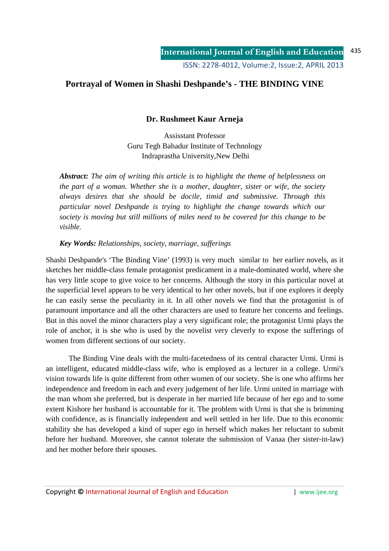# **Portrayal of Women in Shashi Deshpande's - THE BINDING VINE**

## **Dr. Rushmeet Kaur Arneja**

Assisstant Professor Guru Tegh Bahadur Institute of Technology Indraprastha University,New Delhi

*Abstract: The aim of writing this article is to highlight the theme of helplessness on the part of a woman. Whether she is a mother, daughter, sister or wife, the society always desires that she should be docile, timid and submissive. Through this particular novel Deshpande is trying to highlight the change towards which our society is moving but still millions of miles need to be covered for this change to be visible.* 

## *Key Words: Relationships, society, marriage, sufferings*

Shashi Deshpande's 'The Binding Vine' (1993) is very much similar to her earlier novels, as it sketches her middle-class female protagonist predicament in a male-dominated world, where she has very little scope to give voice to her concerns. Although the story in this particular novel at the superficial level appears to be very identical to her other novels, but if one explores it deeply he can easily sense the peculiarity in it. In all other novels we find that the protagonist is of paramount importance and all the other characters are used to feature her concerns and feelings. But in this novel the minor characters play a very significant role; the protagonist Urmi plays the role of anchor, it is she who is used by the novelist very cleverly to expose the sufferings of women from different sections of our society.

 The Binding Vine deals with the multi-facetedness of its central character Urmi. Urmi is an intelligent, educated middle-class wife, who is employed as a lecturer in a college. Urmi's vision towards life is quite different from other women of our society. She is one who affirms her independence and freedom in each and every judgement of her life. Urmi united in marriage with the man whom she preferred, but is desperate in her married life because of her ego and to some extent Kishore her husband is accountable for it. The problem with Urmi is that she is brimming with confidence, as is financially independent and well settled in her life. Due to this economic stability she has developed a kind of super ego in herself which makes her reluctant to submit before her husband. Moreover, she cannot tolerate the submission of Vanaa (her sister-in-law) and her mother before their spouses.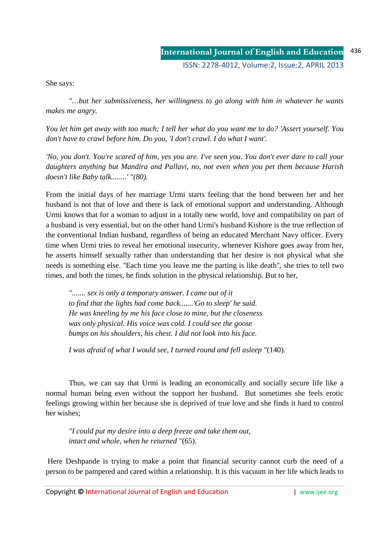She says:

*"…but her submissiveness, her willingness to go along with him in whatever he wants makes me angry.* 

*You let him get away with too much; I tell her what do you want me to do? 'Assert yourself. You don't have to crawl before him. Do you, 'I don't crawl. I do what I want'.* 

*'No, you don't. You're scared of him, yes you are. I've seen you. You don't ever dare to call your daughters anything but Mandira and Pallavi, no, not even when you pet them because Harish doesn't like Baby talk........' "(80).* 

From the initial days of her marriage Urmi starts feeling that the bond between her and her husband is not that of love and there is lack of emotional support and understanding. Although Urmi knows that for a woman to adjust in a totally new world, love and compatibility on part of a husband is very essential, but on the other hand Urmi's husband Kishore is the true reflection of the conventional Indian husband, regardless of being an educated Merchant Navy officer. Every time when Urmi tries to reveal her emotional insecurity, whenever Kishore goes away from her, he asserts himself sexually rather than understanding that her desire is not physical what she needs is something else. ''Each time you leave me the parting is like death'', she tries to tell two times, and both the times, he finds solution in the physical relationship. But to her,

*''....... sex is only a temporary answer. I came out of it to find that the lights had come back.......'Go to sleep' he said. He was kneeling by me his face close to mine, but the closeness was only physical. His voice was cold. I could see the goose bumps on his shoulders, his chest. I did not look into his face.* 

 *I was afraid of what I would see, I turned round and fell asleep "*(140).

 Thus, we can say that Urmi is leading an economically and socially secure life like a normal human being even without the support her husband. But sometimes she feels erotic feelings growing within her because she is deprived of true love and she finds it hard to control her wishes;

*"I could put my desire into a deep freeze and take them out, intact and whole, when he returned "*(65).

 Here Deshpande is trying to make a point that financial security cannot curb the need of a person to be pampered and cared within a relationship. It is this vacuum in her life which leads to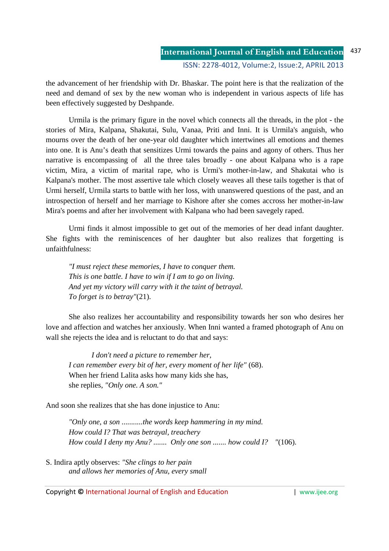# **International Journal of English and Education** ISSN: 2278-4012, Volume:2, Issue:2, APRIL 2013

the advancement of her friendship with Dr. Bhaskar. The point here is that the realization of the need and demand of sex by the new woman who is independent in various aspects of life has been effectively suggested by Deshpande.

 Urmila is the primary figure in the novel which connects all the threads, in the plot - the stories of Mira, Kalpana, Shakutai, Sulu, Vanaa, Priti and Inni. It is Urmila's anguish, who mourns over the death of her one-year old daughter which intertwines all emotions and themes into one. It is Anu's death that sensitizes Urmi towards the pains and agony of others. Thus her narrative is encompassing of all the three tales broadly - one about Kalpana who is a rape victim, Mira, a victim of marital rape, who is Urmi's mother-in-law, and Shakutai who is Kalpana's mother. The most assertive tale which closely weaves all these tails together is that of Urmi herself, Urmila starts to battle with her loss, with unanswered questions of the past, and an introspection of herself and her marriage to Kishore after she comes accross her mother-in-law Mira's poems and after her involvement with Kalpana who had been savegely raped.

 Urmi finds it almost impossible to get out of the memories of her dead infant daughter. She fights with the reminiscences of her daughter but also realizes that forgetting is unfaithfulness:

*"I must reject these memories, I have to conquer them. This is one battle. I have to win if I am to go on living. And yet my victory will carry with it the taint of betrayal. To forget is to betray"*(21).

 She also realizes her accountability and responsibility towards her son who desires her love and affection and watches her anxiously. When Inni wanted a framed photograph of Anu on wall she rejects the idea and is reluctant to do that and says:

 *I don't need a picture to remember her, I can remember every bit of her, every moment of her life"* (68). When her friend Lalita asks how many kids she has, she replies, *"Only one. A son."* 

And soon she realizes that she has done injustice to Anu:

*"Only one, a son ...........the words keep hammering in my mind. How could I? That was betrayal, treachery How could I deny my Anu? ....... Only one son ....... how could I? "*(106).

S. Indira aptly observes: *"She clings to her pain and allows her memories of Anu, every small* 

Copyright **©** International Journal of English and Education | www.ijee.org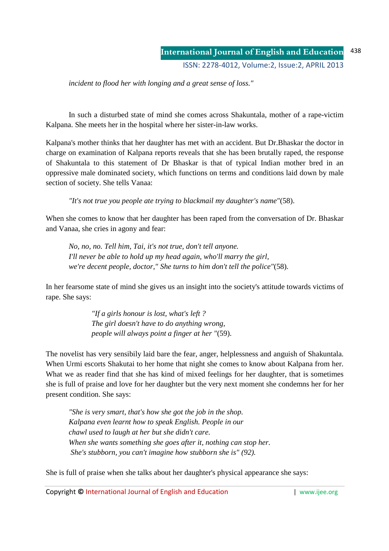*incident to flood her with longing and a great sense of loss."* 

 In such a disturbed state of mind she comes across Shakuntala, mother of a rape-victim Kalpana. She meets her in the hospital where her sister-in-law works.

Kalpana's mother thinks that her daughter has met with an accident. But Dr.Bhaskar the doctor in charge on examination of Kalpana reports reveals that she has been brutally raped, the response of Shakuntala to this statement of Dr Bhaskar is that of typical Indian mother bred in an oppressive male dominated society, which functions on terms and conditions laid down by male section of society. She tells Vanaa:

 *"It's not true you people ate trying to blackmail my daughter's name"*(58).

When she comes to know that her daughter has been raped from the conversation of Dr. Bhaskar and Vanaa, she cries in agony and fear:

*No, no, no. Tell him, Tai, it's not true, don't tell anyone. I'll never be able to hold up my head again, who'll marry the girl, we're decent people, doctor," She turns to him don't tell the police"*(58).

In her fearsome state of mind she gives us an insight into the society's attitude towards victims of rape. She says:

> *"If a girls honour is lost, what's left ? The girl doesn't have to do anything wrong, people will always point a finger at her "*(59).

The novelist has very sensibily laid bare the fear, anger, helplessness and anguish of Shakuntala. When Urmi escorts Shakutai to her home that night she comes to know about Kalpana from her. What we as reader find that she has kind of mixed feelings for her daughter, that is sometimes she is full of praise and love for her daughter but the very next moment she condemns her for her present condition. She says:

 *"She is very smart, that's how she got the job in the shop. Kalpana even learnt how to speak English. People in our chawl used to laugh at her but she didn't care. When she wants something she goes after it, nothing can stop her. She's stubborn, you can't imagine how stubborn she is" (92).*

She is full of praise when she talks about her daughter's physical appearance she says:

Copyright **©** International Journal of English and Education | www.ijee.org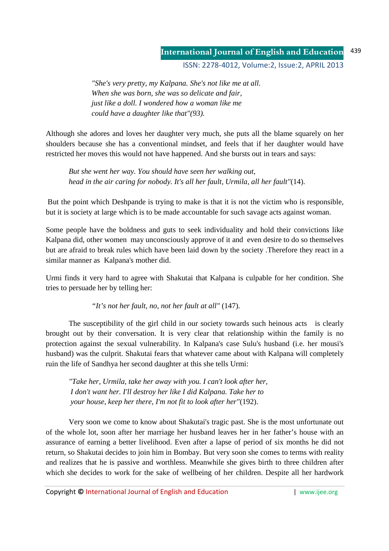#### **International Journal of English and Education** 439

ISSN: 2278-4012, Volume:2, Issue:2, APRIL 2013

 *"She's very pretty, my Kalpana. She's not like me at all. When she was born, she was so delicate and fair, just like a doll. I wondered how a woman like me could have a daughter like that"(93).*

Although she adores and loves her daughter very much, she puts all the blame squarely on her shoulders because she has a conventional mindset, and feels that if her daughter would have restricted her moves this would not have happened. And she bursts out in tears and says:

*But she went her way. You should have seen her walking out, head in the air caring for nobody. It's all her fault, Urmila, all her fault"*(14).

 But the point which Deshpande is trying to make is that it is not the victim who is responsible, but it is society at large which is to be made accountable for such savage acts against woman.

Some people have the boldness and guts to seek individuality and hold their convictions like Kalpana did, other women may unconsciously approve of it and even desire to do so themselves but are afraid to break rules which have been laid down by the society .Therefore they react in a similar manner as Kalpana's mother did.

Urmi finds it very hard to agree with Shakutai that Kalpana is culpable for her condition. She tries to persuade her by telling her:

*"It's not her fault, no, not her fault at all"* (147).

 The susceptibility of the girl child in our society towards such heinous acts is clearly brought out by their conversation. It is very clear that relationship within the family is no protection against the sexual vulnerability. In Kalpana's case Sulu's husband (i.e. her mousi's husband) was the culprit. Shakutai fears that whatever came about with Kalpana will completely ruin the life of Sandhya her second daughter at this she tells Urmi:

*"Take her, Urmila, take her away with you. I can't look after her, I don't want her. I'll destroy her like I did Kalpana. Take her to your house, keep her there, I'm not fit to look after her"*(192).

 Very soon we come to know about Shakutai's tragic past. She is the most unfortunate out of the whole lot, soon after her marriage her husband leaves her in her father's house with an assurance of earning a better livelihood. Even after a lapse of period of six months he did not return, so Shakutai decides to join him in Bombay. But very soon she comes to terms with reality and realizes that he is passive and worthless. Meanwhile she gives birth to three children after which she decides to work for the sake of wellbeing of her children. Despite all her hardwork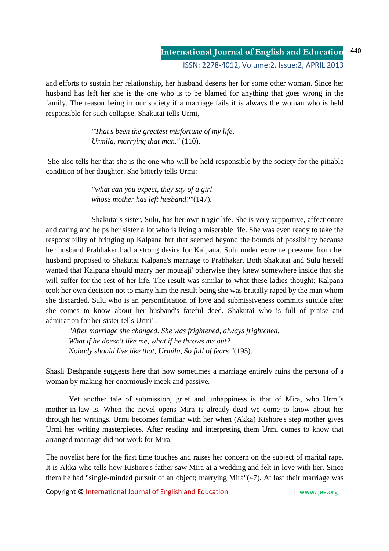and efforts to sustain her relationship, her husband deserts her for some other woman. Since her husband has left her she is the one who is to be blamed for anything that goes wrong in the family. The reason being in our society if a marriage fails it is always the woman who is held responsible for such collapse. Shakutai tells Urmi,

> *"That's been the greatest misfortune of my life, Urmila, marrying that man."* (110).

 She also tells her that she is the one who will be held responsible by the society for the pitiable condition of her daughter. She bitterly tells Urmi:

> *"what can you expect, they say of a girl whose mother has left husband?"*(147).

 Shakutai's sister, Sulu, has her own tragic life. She is very supportive, affectionate and caring and helps her sister a lot who is living a miserable life. She was even ready to take the responsibility of bringing up Kalpana but that seemed beyond the bounds of possibility because her husband Prabhaker had a strong desire for Kalpana. Sulu under extreme pressure from her husband proposed to Shakutai Kalpana's marriage to Prabhakar. Both Shakutai and Sulu herself wanted that Kalpana should marry her mousaji' otherwise they knew somewhere inside that she will suffer for the rest of her life. The result was similar to what these ladies thought; Kalpana took her own decision not to marry him the result being she was brutally raped by the man whom she discarded. Sulu who is an personification of love and submissiveness commits suicide after she comes to know about her husband's fateful deed. Shakutai who is full of praise and admiration for her sister tells Urmi".

*"After marriage she changed. She was frightened, always frightened. What if he doesn't like me, what if he throws me out? Nobody should live like that, Urmila, So full of fears "*(195).

Shasli Deshpande suggests here that how sometimes a marriage entirely ruins the persona of a woman by making her enormously meek and passive.

 Yet another tale of submission, grief and unhappiness is that of Mira, who Urmi's mother-in-law is. When the novel opens Mira is already dead we come to know about her through her writings. Urmi becomes familiar with her when (Akka) Kishore's step mother gives Urmi her writing masterpieces. After reading and interpreting them Urmi comes to know that arranged marriage did not work for Mira.

The novelist here for the first time touches and raises her concern on the subject of marital rape. It is Akka who tells how Kishore's father saw Mira at a wedding and felt in love with her. Since them he had "single-minded pursuit of an object; marrying Mira"(47). At last their marriage was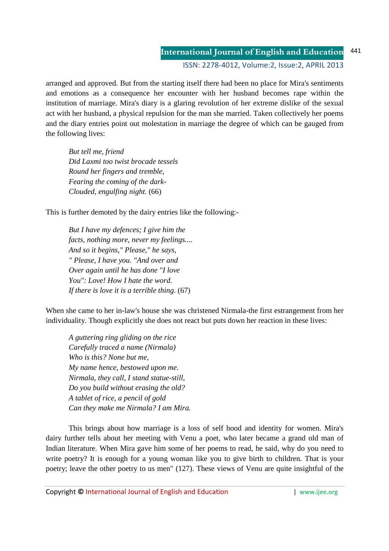### **International Journal of English and Education** ISSN: 2278-4012, Volume:2, Issue:2, APRIL 2013 441

arranged and approved. But from the starting itself there had been no place for Mira's sentiments and emotions as a consequence her encounter with her husband becomes rape within the institution of marriage. Mira's diary is a glaring revolution of her extreme dislike of the sexual act with her husband, a physical repulsion for the man she married. Taken collectively her poems and the diary entries point out molestation in marriage the degree of which can be gauged from the following lives:

*But tell me, friend Did Laxmi too twist brocade tessels Round her fingers and tremble, Fearing the coming of the dark- Clouded, engulfing night.* (66)

This is further demoted by the dairy entries like the following:-

*But I have my defences; I give him the facts, nothing more, never my feelings.... And so it begins," Please," he says, " Please, I have you. "And over and Over again until he has done "I love You": Love! How I hate the word. If there is love it is a terrible thing.* (67)

When she came to her in-law's house she was christened Nirmala-the first estrangement from her individuality. Though explicitly she does not react but puts down her reaction in these lives:

*A guttering ring gliding on the rice Carefully traced a name (Nirmala) Who is this? None but me, My name hence, bestowed upon me. Nirmala, they call, I stand statue-still, Do you build without erasing the old? A tablet of rice, a pencil of gold Can they make me Nirmala? I am Mira.* 

 This brings about how marriage is a loss of self hood and identity for women. Mira's dairy further tells about her meeting with Venu a poet, who later became a grand old man of Indian literature. When Mira gave him some of her poems to read, he said, why do you need to write poetry? It is enough for a young woman like you to give birth to children. That is your poetry; leave the other poetry to us men" (127). These views of Venu are quite insightful of the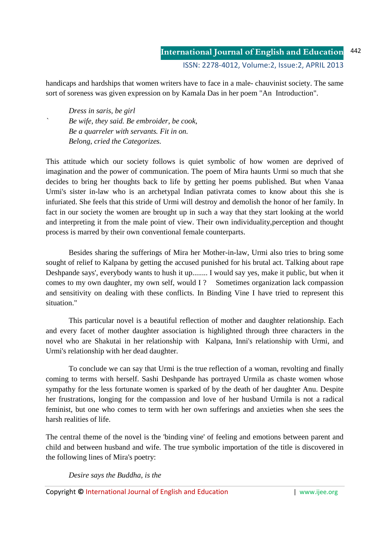handicaps and hardships that women writers have to face in a male- chauvinist society. The same sort of soreness was given expression on by Kamala Das in her poem "An Introduction".

*Dress in saris, be girl ` Be wife, they said. Be embroider, be cook, Be a quarreler with servants. Fit in on. Belong, cried the Categorizes.* 

This attitude which our society follows is quiet symbolic of how women are deprived of imagination and the power of communication. The poem of Mira haunts Urmi so much that she decides to bring her thoughts back to life by getting her poems published. But when Vanaa Urmi's sister in-law who is an archetypal Indian pativrata comes to know about this she is infuriated. She feels that this stride of Urmi will destroy and demolish the honor of her family. In fact in our society the women are brought up in such a way that they start looking at the world and interpreting it from the male point of view. Their own individuality,perception and thought process is marred by their own conventional female counterparts.

 Besides sharing the sufferings of Mira her Mother-in-law, Urmi also tries to bring some sought of relief to Kalpana by getting the accused punished for his brutal act. Talking about rape Deshpande says', everybody wants to hush it up........ I would say yes, make it public, but when it comes to my own daughter, my own self, would I? Sometimes organization lack compassion and sensitivity on dealing with these conflicts. In Binding Vine I have tried to represent this situation."

 This particular novel is a beautiful reflection of mother and daughter relationship. Each and every facet of mother daughter association is highlighted through three characters in the novel who are Shakutai in her relationship with Kalpana, Inni's relationship with Urmi, and Urmi's relationship with her dead daughter.

 To conclude we can say that Urmi is the true reflection of a woman, revolting and finally coming to terms with herself. Sashi Deshpande has portrayed Urmila as chaste women whose sympathy for the less fortunate women is sparked of by the death of her daughter Anu. Despite her frustrations, longing for the compassion and love of her husband Urmila is not a radical feminist, but one who comes to term with her own sufferings and anxieties when she sees the harsh realities of life.

The central theme of the novel is the 'binding vine' of feeling and emotions between parent and child and between husband and wife. The true symbolic importation of the title is discovered in the following lines of Mira's poetry:

*Desire says the Buddha, is the* 

Copyright **©** International Journal of English and Education | www.ijee.org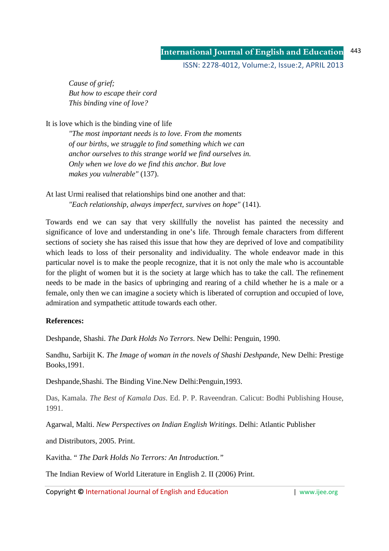*Cause of grief; But how to escape their cord This binding vine of love?* 

It is love which is the binding vine of life

 *"The most important needs is to love. From the moments of our births, we struggle to find something which we can anchor ourselves to this strange world we find ourselves in. Only when we love do we find this anchor. But love makes you vulnerable"* (137).

At last Urmi realised that relationships bind one another and that: *"Each relationship, always imperfect, survives on hope"* (141).

Towards end we can say that very skillfully the novelist has painted the necessity and significance of love and understanding in one's life. Through female characters from different sections of society she has raised this issue that how they are deprived of love and compatibility which leads to loss of their personality and individuality. The whole endeavor made in this particular novel is to make the people recognize, that it is not only the male who is accountable for the plight of women but it is the society at large which has to take the call. The refinement needs to be made in the basics of upbringing and rearing of a child whether he is a male or a female, only then we can imagine a society which is liberated of corruption and occupied of love, admiration and sympathetic attitude towards each other.

## **References:**

Deshpande, Shashi. *The Dark Holds No Terrors*. New Delhi: Penguin, 1990.

Sandhu, Sarbijit K. *The Image of woman in the novels of Shashi Deshpande*, New Delhi: Prestige Books,1991.

Deshpande,Shashi. The Binding Vine.New Delhi:Penguin,1993.

Das, Kamala. *The Best of Kamala Das*. Ed. P. P. Raveendran. Calicut: Bodhi Publishing House, 1991.

Agarwal, Malti. *New Perspectives on Indian English Writings*. Delhi: Atlantic Publisher

and Distributors, 2005. Print.

Kavitha. " *The Dark Holds No Terrors: An Introduction."*

The Indian Review of World Literature in English 2. II (2006) Print.

Copyright © International Journal of English and Education **| www.ijee.org** | www.ijee.org